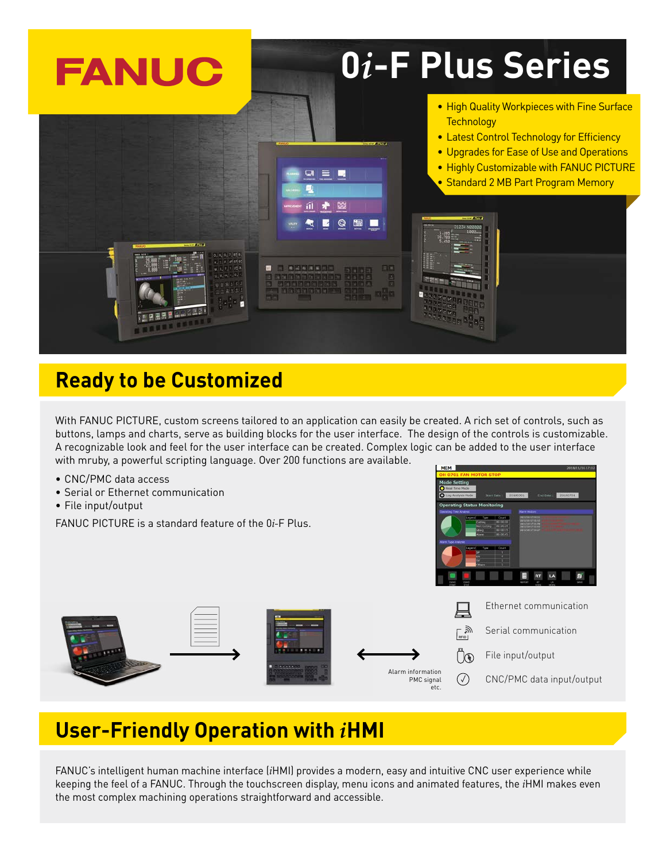

## **Ready to be Customized**

With FANUC PICTURE, custom screens tailored to an application can easily be created. A rich set of controls, such as buttons, lamps and charts, serve as building blocks for the user interface. The design of the controls is customizable. A recognizable look and feel for the user interface can be created. Complex logic can be added to the user interface with mruby, a powerful scripting language. Over 200 functions are available.

- CNC/PMC data access
- Serial or Ethernet communication
- File input/output

FANUC PICTURE is a standard feature of the 0*i-*F Plus.



PMC signal etc.

## **User-Friendly Operation with** *i***HMI**

FANUC's intelligent human machine interface (*i*HMI) provides a modern, easy and intuitive CNC user experience while keeping the feel of a FANUC. Through the touchscreen display, menu icons and animated features, the *i*HMI makes even the most complex machining operations straightforward and accessible.